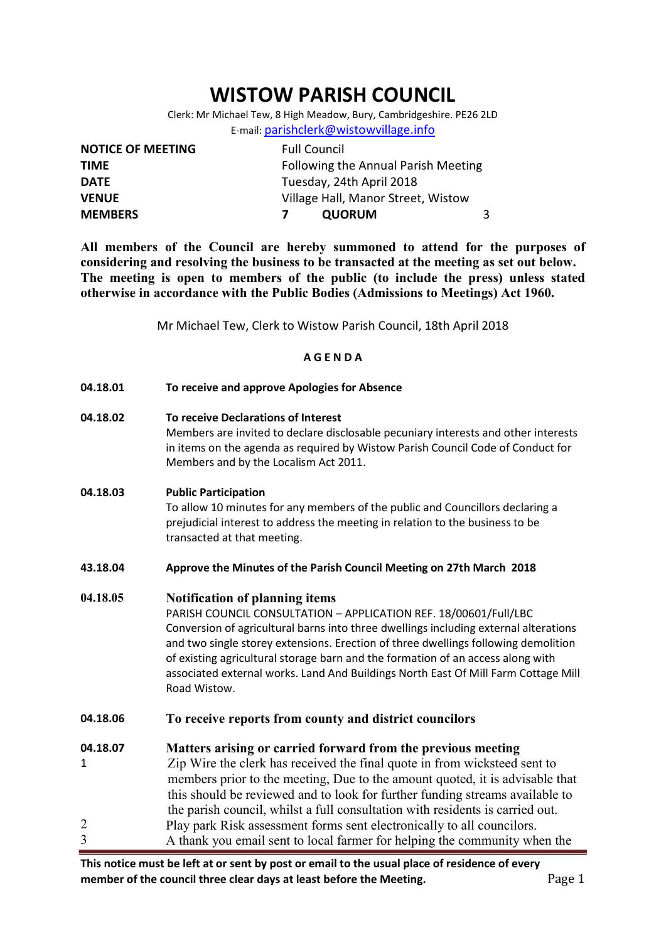# WISTOW PARISH COUNCIL

Clerk: Mr Michael Tew, 8 High Meadow, Bury, Cambridgeshire. PE26 2LD E-mail: parishclerk@wistowvillage.info

| <b>NOTICE OF MEETING</b> | <b>Full Council</b>                 |  |  |
|--------------------------|-------------------------------------|--|--|
| <b>TIME</b>              | Following the Annual Parish Meeting |  |  |
| <b>DATE</b>              | Tuesday, 24th April 2018            |  |  |
| <b>VENUE</b>             | Village Hall, Manor Street, Wistow  |  |  |
| <b>MEMBERS</b>           | <b>QUORUM</b>                       |  |  |

All members of the Council are hereby summoned to attend for the purposes of considering and resolving the business to be transacted at the meeting as set out below. The meeting is open to members of the public (to include the press) unless stated otherwise in accordance with the Public Bodies (Admissions to Meetings) Act 1960.

Mr Michael Tew, Clerk to Wistow Parish Council, 18th April 2018

#### A G E N D A

| 04.18.01      | To receive and approve Apologies for Absence                                                                                                                                                                                                                                                                                                                                                                                                                                     |  |  |  |  |
|---------------|----------------------------------------------------------------------------------------------------------------------------------------------------------------------------------------------------------------------------------------------------------------------------------------------------------------------------------------------------------------------------------------------------------------------------------------------------------------------------------|--|--|--|--|
| 04.18.02      | To receive Declarations of Interest<br>Members are invited to declare disclosable pecuniary interests and other interests<br>in items on the agenda as required by Wistow Parish Council Code of Conduct for<br>Members and by the Localism Act 2011.                                                                                                                                                                                                                            |  |  |  |  |
| 04.18.03      | <b>Public Participation</b><br>To allow 10 minutes for any members of the public and Councillors declaring a<br>prejudicial interest to address the meeting in relation to the business to be<br>transacted at that meeting.                                                                                                                                                                                                                                                     |  |  |  |  |
| 43.18.04      | Approve the Minutes of the Parish Council Meeting on 27th March 2018                                                                                                                                                                                                                                                                                                                                                                                                             |  |  |  |  |
| 04.18.05      | <b>Notification of planning items</b><br>PARISH COUNCIL CONSULTATION - APPLICATION REF. 18/00601/Full/LBC<br>Conversion of agricultural barns into three dwellings including external alterations<br>and two single storey extensions. Erection of three dwellings following demolition<br>of existing agricultural storage barn and the formation of an access along with<br>associated external works. Land And Buildings North East Of Mill Farm Cottage Mill<br>Road Wistow. |  |  |  |  |
| 04.18.06      | To receive reports from county and district councilors                                                                                                                                                                                                                                                                                                                                                                                                                           |  |  |  |  |
| 04.18.07<br>1 | Matters arising or carried forward from the previous meeting<br>Zip Wire the clerk has received the final quote in from wicksteed sent to<br>members prior to the meeting, Due to the amount quoted, it is advisable that<br>this should be reviewed and to look for further funding streams available to<br>the parish council, whilst a full consultation with residents is carried out.                                                                                       |  |  |  |  |
|               | Play park Risk assessment forms sent electronically to all councilors.                                                                                                                                                                                                                                                                                                                                                                                                           |  |  |  |  |
| 3             | A thank you email sent to local farmer for helping the community when the                                                                                                                                                                                                                                                                                                                                                                                                        |  |  |  |  |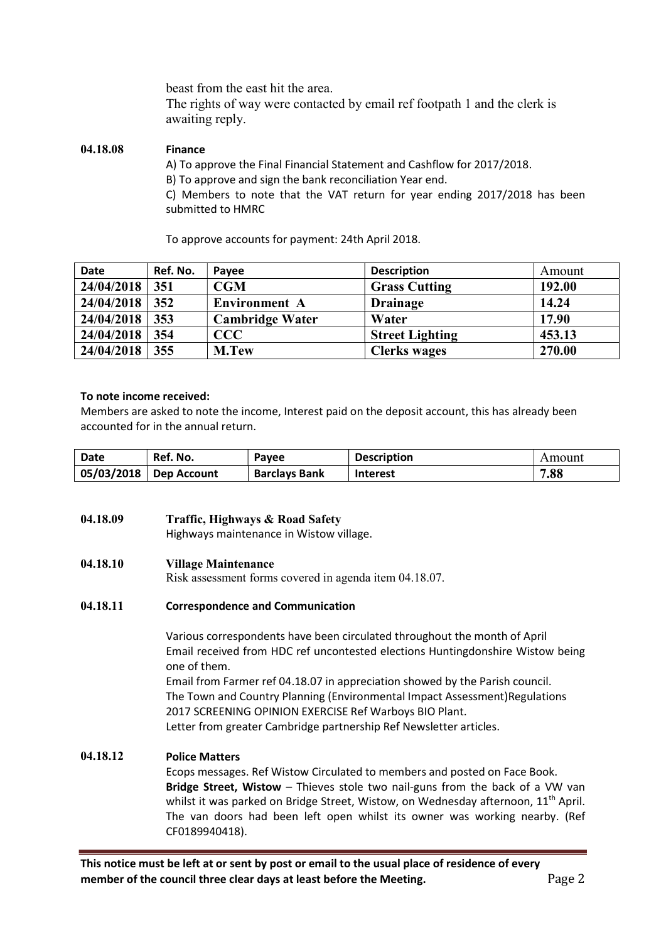beast from the east hit the area.

The rights of way were contacted by email ref footpath 1 and the clerk is awaiting reply.

#### 04.18.08 Finance

A) To approve the Final Financial Statement and Cashflow for 2017/2018.

B) To approve and sign the bank reconciliation Year end.

C) Members to note that the VAT return for year ending 2017/2018 has been submitted to HMRC

To approve accounts for payment: 24th April 2018.

| <b>Date</b> | Ref. No. | Payee                  | <b>Description</b>     | Amount |
|-------------|----------|------------------------|------------------------|--------|
| 24/04/2018  | 351      | CGM                    | <b>Grass Cutting</b>   | 192.00 |
| 24/04/2018  | 352      | <b>Environment A</b>   | <b>Drainage</b>        | 14.24  |
| 24/04/2018  | 353      | <b>Cambridge Water</b> | Water                  | 17.90  |
| 24/04/2018  | 354      | CCC                    | <b>Street Lighting</b> | 453.13 |
| 24/04/2018  | 355      | M.Tew                  | <b>Clerks wages</b>    | 270.00 |

#### To note income received:

Members are asked to note the income, Interest paid on the deposit account, this has already been accounted for in the annual return.

| Date       | Ref. No.    | <b>Pavee</b>         | <b>Description</b> | Amount |
|------------|-------------|----------------------|--------------------|--------|
| 05/03/2018 | Dep Account | <b>Barclays Bank</b> | <b>Interest</b>    | 7.88   |

## 04.18.09 Traffic, Highways & Road Safety

Highways maintenance in Wistow village.

## 04.18.10 Village Maintenance

Risk assessment forms covered in agenda item 04.18.07.

#### 04.18.11 Correspondence and Communication

Various correspondents have been circulated throughout the month of April Email received from HDC ref uncontested elections Huntingdonshire Wistow being one of them.

Email from Farmer ref 04.18.07 in appreciation showed by the Parish council. The Town and Country Planning (Environmental Impact Assessment)Regulations 2017 SCREENING OPINION EXERCISE Ref Warboys BIO Plant. Letter from greater Cambridge partnership Ref Newsletter articles.

#### 04.18.12 Police Matters

Ecops messages. Ref Wistow Circulated to members and posted on Face Book. Bridge Street, Wistow – Thieves stole two nail-guns from the back of a VW van whilst it was parked on Bridge Street, Wistow, on Wednesday afternoon,  $11<sup>th</sup>$  April. The van doors had been left open whilst its owner was working nearby. (Ref CF0189940418).